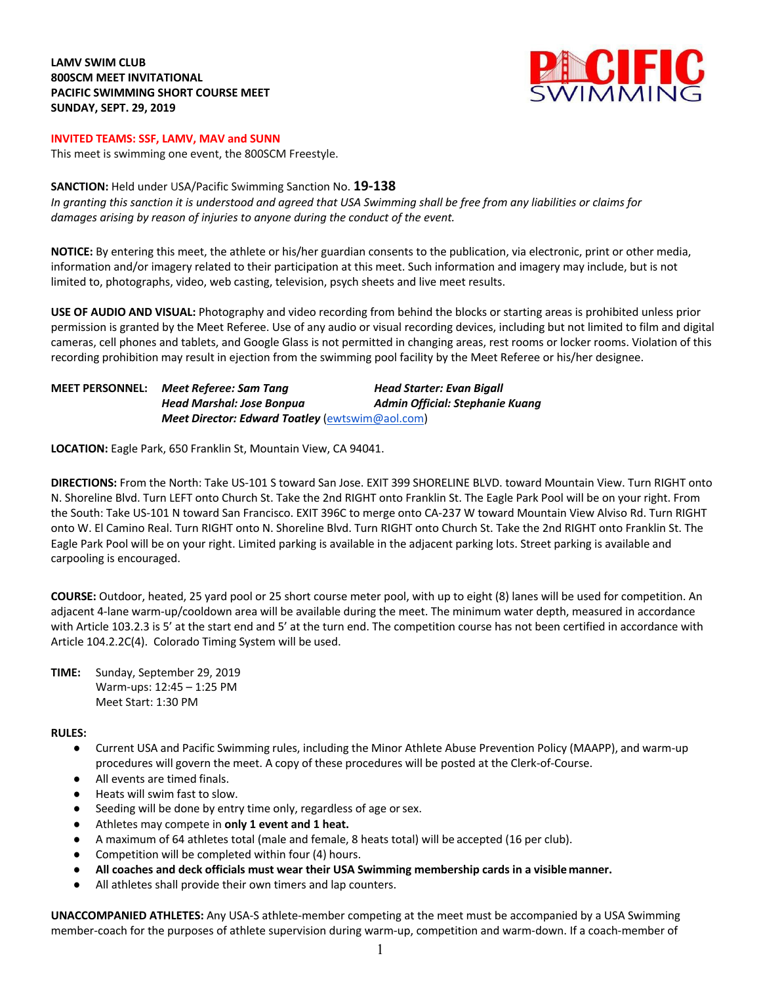# **LAMV SWIM CLUB 800SCM MEET INVITATIONAL PACIFIC SWIMMING SHORT COURSE MEET SUNDAY, SEPT. 29, 2019**



### **INVITED TEAMS: SSF, LAMV, MAV and SUNN**

This meet is swimming one event, the 800SCM Freestyle.

### **SANCTION:** Held under USA/Pacific Swimming Sanction No. **19-138**

*In granting this sanction it is understood and agreed that USA Swimming shall be free from any liabilities or claims for damages arising by reason of injuries to anyone during the conduct of the event.*

**NOTICE:** By entering this meet, the athlete or his/her guardian consents to the publication, via electronic, print or other media, information and/or imagery related to their participation at this meet. Such information and imagery may include, but is not limited to, photographs, video, web casting, television, psych sheets and live meet results.

**USE OF AUDIO AND VISUAL:** Photography and video recording from behind the blocks or starting areas is prohibited unless prior permission is granted by the Meet Referee. Use of any audio or visual recording devices, including but not limited to film and digital cameras, cell phones and tablets, and Google Glass is not permitted in changing areas, rest rooms or locker rooms. Violation of this recording prohibition may result in ejection from the swimming pool facility by the Meet Referee or his/her designee.

| <b>MEET PERSONNEL:</b> | Meet Referee: Sam Tana                                 | <b>Head Starter: Evan Bigall</b>       |
|------------------------|--------------------------------------------------------|----------------------------------------|
|                        | <b>Head Marshal: Jose Bonpua</b>                       | <b>Admin Official: Stephanie Kuang</b> |
|                        | <b>Meet Director: Edward Toatley (ewtswim@aol.com)</b> |                                        |

**LOCATION:** Eagle Park, 650 Franklin St, Mountain View, CA 94041.

**DIRECTIONS:** From the North: Take US-101 S toward San Jose. EXIT 399 SHORELINE BLVD. toward Mountain View. Turn RIGHT onto N. Shoreline Blvd. Turn LEFT onto Church St. Take the 2nd RIGHT onto Franklin St. The Eagle Park Pool will be on your right. From the South: Take US-101 N toward San Francisco. EXIT 396C to merge onto CA-237 W toward Mountain View Alviso Rd. Turn RIGHT onto W. El Camino Real. Turn RIGHT onto N. Shoreline Blvd. Turn RIGHT onto Church St. Take the 2nd RIGHT onto Franklin St. The Eagle Park Pool will be on your right. Limited parking is available in the adjacent parking lots. Street parking is available and carpooling is encouraged.

**COURSE:** Outdoor, heated, 25 yard pool or 25 short course meter pool, with up to eight (8) lanes will be used for competition. An adjacent 4-lane warm-up/cooldown area will be available during the meet. The minimum water depth, measured in accordance with Article 103.2.3 is 5' at the start end and 5' at the turn end. The competition course has not been certified in accordance with Article 104.2.2C(4).Colorado Timing System will be used.

**TIME:** Sunday, September 29, 2019 Warm-ups: 12:45 – 1:25 PM Meet Start: 1:30 PM

## **RULES:**

- Current USA and Pacific Swimming rules, including the Minor Athlete Abuse Prevention Policy (MAAPP), and warm-up procedures will govern the meet. A copy of these procedures will be posted at the Clerk-of-Course.
- All events are timed finals.
- Heats will swim fast to slow.
- Seeding will be done by entry time only, regardless of age or sex.
- Athletes may compete in **only 1 event and 1 heat.**
- A maximum of 64 athletes total (male and female, 8 heats total) will be accepted (16 per club).
- Competition will be completed within four (4) hours.
- **All coaches and deck officials must wear their USA Swimming membership cards in a visiblemanner.**
- All athletes shall provide their own timers and lap counters.

**UNACCOMPANIED ATHLETES:** Any USA-S athlete-member competing at the meet must be accompanied by a USA Swimming member-coach for the purposes of athlete supervision during warm-up, competition and warm-down. If a coach-member of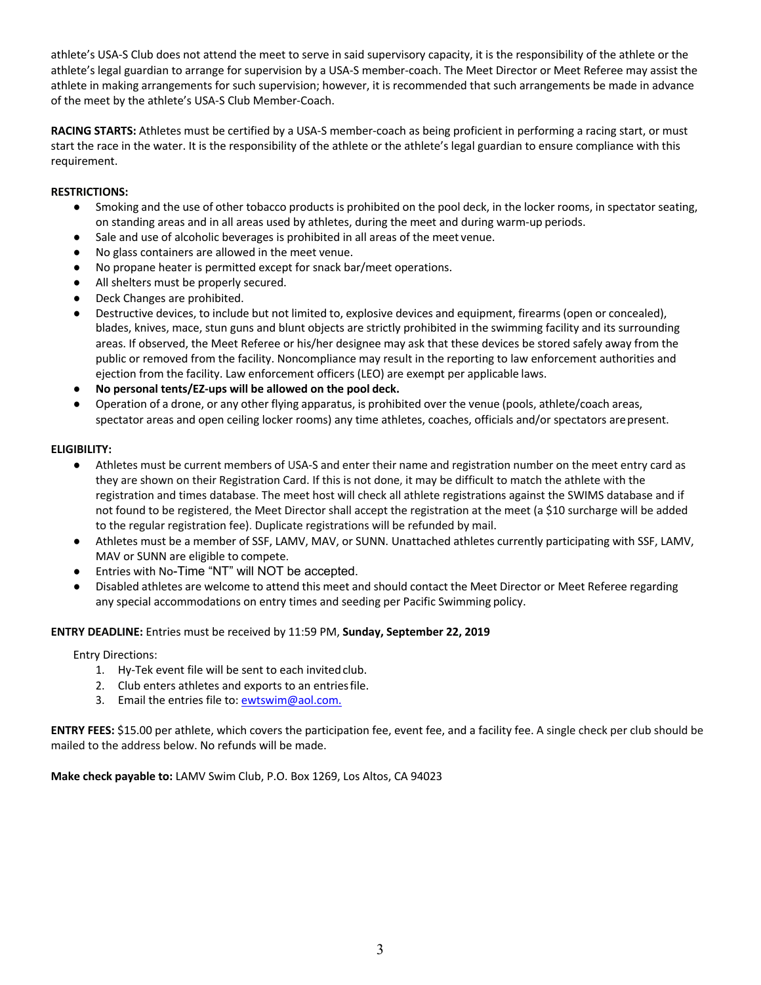athlete's USA-S Club does not attend the meet to serve in said supervisory capacity, it is the responsibility of the athlete or the athlete's legal guardian to arrange for supervision by a USA-S member-coach. The Meet Director or Meet Referee may assist the athlete in making arrangements for such supervision; however, it is recommended that such arrangements be made in advance of the meet by the athlete's USA-S Club Member-Coach.

**RACING STARTS:** Athletes must be certified by a USA-S member-coach as being proficient in performing a racing start, or must start the race in the water. It is the responsibility of the athlete or the athlete's legal guardian to ensure compliance with this requirement.

# **RESTRICTIONS:**

- Smoking and the use of other tobacco products is prohibited on the pool deck, in the locker rooms, in spectator seating, on standing areas and in all areas used by athletes, during the meet and during warm-up periods.
- Sale and use of alcoholic beverages is prohibited in all areas of the meet venue.
- No glass containers are allowed in the meet venue.
- No propane heater is permitted except for snack bar/meet operations.
- All shelters must be properly secured.
- Deck Changes are prohibited.
- Destructive devices, to include but not limited to, explosive devices and equipment, firearms (open or concealed), blades, knives, mace, stun guns and blunt objects are strictly prohibited in the swimming facility and its surrounding areas. If observed, the Meet Referee or his/her designee may ask that these devices be stored safely away from the public or removed from the facility. Noncompliance may result in the reporting to law enforcement authorities and ejection from the facility. Law enforcement officers (LEO) are exempt per applicable laws.
- **No personal tents/EZ-ups will be allowed on the pool deck.**
- Operation of a drone, or any other flying apparatus, is prohibited over the venue (pools, athlete/coach areas, spectator areas and open ceiling locker rooms) any time athletes, coaches, officials and/or spectators arepresent.

### **ELIGIBILITY:**

- Athletes must be current members of USA-S and enter their name and registration number on the meet entry card as they are shown on their Registration Card. If this is not done, it may be difficult to match the athlete with the registration and times database. The meet host will check all athlete registrations against the SWIMS database and if not found to be registered, the Meet Director shall accept the registration at the meet (a \$10 surcharge will be added to the regular registration fee). Duplicate registrations will be refunded by mail.
- Athletes must be a member of SSF, LAMV, MAV, or SUNN. Unattached athletes currently participating with SSF, LAMV, MAV or SUNN are eligible to compete.
- Entries with No-Time "NT" will NOT be accepted.
- Disabled athletes are welcome to attend this meet and should contact the Meet Director or Meet Referee regarding any special accommodations on entry times and seeding per Pacific Swimming policy.

## **ENTRY DEADLINE:** Entries must be received by 11:59 PM, **Sunday, September 22, 2019**

Entry Directions:

- 1. Hy-Tek event file will be sent to each invited club.
- 2. Club enters athletes and exports to an entriesfile.
- 3. Email the entries file to: ewtswim@aol.com.

**ENTRY FEES:** \$15.00 per athlete, which covers the participation fee, event fee, and a facility fee. A single check per club should be mailed to the address below. No refunds will be made.

**Make check payable to:** LAMV Swim Club, P.O. Box 1269, Los Altos, CA 94023